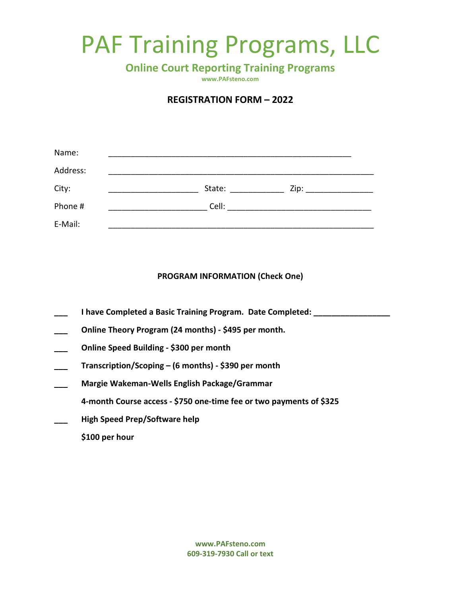## PAF Training Programs, LLC

**Online Court Reporting Training Programs**

**www.PAFsteno.com**

## **REGISTRATION FORM – 2022**

| Name:    |        |      |
|----------|--------|------|
| Address: |        |      |
| City:    | State: | Zip: |
| Phone #  | Cell:  |      |
| E-Mail:  |        |      |

## **PROGRAM INFORMATION (Check One)**

- **\_\_\_ I have Completed a Basic Training Program. Date Completed: \_\_\_\_\_\_\_\_\_\_\_\_\_\_\_\_\_**
- **\_\_\_ Online Theory Program (24 months) - \$495 per month.**
- **\_\_\_ Online Speed Building - \$300 per month**
- **\_\_\_ Transcription/Scoping – (6 months) - \$390 per month**
- **\_\_\_ Margie Wakeman-Wells English Package/Grammar**
	- **4-month Course access - \$750 one-time fee or two payments of \$325**
- **\_\_\_ High Speed Prep/Software help**
	- **\$100 per hour**

**www.PAFsteno.com 609-319-7930 Call or text**